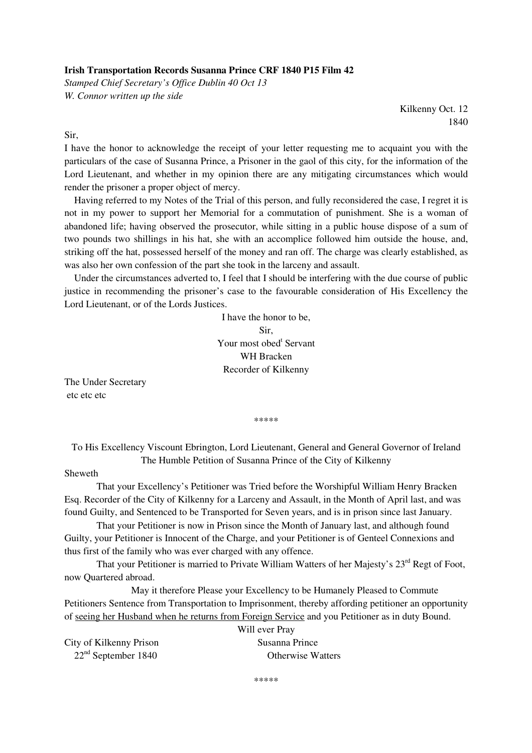## **Irish Transportation Records Susanna Prince CRF 1840 P15 Film 42**

*Stamped Chief Secretary's Office Dublin 40 Oct 13 W. Connor written up the side* 

> Kilkenny Oct. 12 1840

Sir,

I have the honor to acknowledge the receipt of your letter requesting me to acquaint you with the particulars of the case of Susanna Prince, a Prisoner in the gaol of this city, for the information of the Lord Lieutenant, and whether in my opinion there are any mitigating circumstances which would render the prisoner a proper object of mercy.

 Having referred to my Notes of the Trial of this person, and fully reconsidered the case, I regret it is not in my power to support her Memorial for a commutation of punishment. She is a woman of abandoned life; having observed the prosecutor, while sitting in a public house dispose of a sum of two pounds two shillings in his hat, she with an accomplice followed him outside the house, and, striking off the hat, possessed herself of the money and ran off. The charge was clearly established, as was also her own confession of the part she took in the larceny and assault.

 Under the circumstances adverted to, I feel that I should be interfering with the due course of public justice in recommending the prisoner's case to the favourable consideration of His Excellency the Lord Lieutenant, or of the Lords Justices.

> I have the honor to be, Sir, Your most obed<sup>t</sup> Servant WH Bracken Recorder of Kilkenny

The Under Secretary etc etc etc

\*\*\*\*\*

To His Excellency Viscount Ebrington, Lord Lieutenant, General and General Governor of Ireland The Humble Petition of Susanna Prince of the City of Kilkenny

## Sheweth

 That your Excellency's Petitioner was Tried before the Worshipful William Henry Bracken Esq. Recorder of the City of Kilkenny for a Larceny and Assault, in the Month of April last, and was found Guilty, and Sentenced to be Transported for Seven years, and is in prison since last January.

 That your Petitioner is now in Prison since the Month of January last, and although found Guilty, your Petitioner is Innocent of the Charge, and your Petitioner is of Genteel Connexions and thus first of the family who was ever charged with any offence.

That your Petitioner is married to Private William Watters of her Majesty's 23<sup>rd</sup> Regt of Foot, now Quartered abroad.

 May it therefore Please your Excellency to be Humanely Pleased to Commute Petitioners Sentence from Transportation to Imprisonment, thereby affording petitioner an opportunity of seeing her Husband when he returns from Foreign Service and you Petitioner as in duty Bound.

| City of Kilkenny Prison |  |
|-------------------------|--|
| $22nd$ September 1840   |  |

Will ever Pray Susanna Prince Otherwise Watters